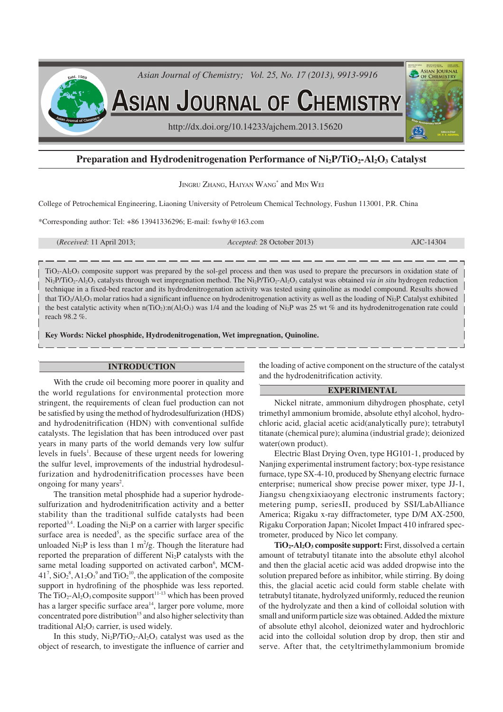

# **Preparation and Hydrodenitrogenation Performance of Ni2P/TiO2-Al2O3 Catalyst**

JINGRU ZHANG, HAIYAN WANG\* and MIN WEI

College of Petrochemical Engineering, Liaoning University of Petroleum Chemical Technology, Fushun 113001, P.R. China

\*Corresponding author: Tel: +86 13941336296; E-mail: fswhy@163.com

(*Received*: 11 April 2013; *Accepted*: 28 October 2013) AJC-14304

TiO2-Al2O3 composite support was prepared by the sol-gel process and then was used to prepare the precursors in oxidation state of Ni2P/TiO2-Al2O3 catalysts through wet impregnation method. The Ni2P/TiO2-Al2O3 catalyst was obtained *via in situ* hydrogen reduction technique in a fixed-bed reactor and its hydrodenitrogenation activity was tested using quinoline as model compound. Results showed that TiO<sub>2</sub>/Al<sub>2</sub>O<sub>3</sub> molar ratios had a significant influence on hydrodenitrogenation activity as well as the loading of N<sub>1</sub><sub>2</sub>P. Catalyst exhibited the best catalytic activity when  $n(TiO_2):n(Al_2O_3)$  was 1/4 and the loading of Ni<sub>2</sub>P was 25 wt % and its hydrodenitrogenation rate could reach 98.2 %.

**Key Words: Nickel phosphide, Hydrodenitrogenation, Wet impregnation, Quinoline.**

## **INTRODUCTION**

With the crude oil becoming more poorer in quality and the world regulations for environmental protection more stringent, the requirements of clean fuel production can not be satisfied by using the method of hydrodesulfurization (HDS) and hydrodenitrification (HDN) with conventional sulfide catalysts. The legislation that has been introduced over past years in many parts of the world demands very low sulfur levels in fuels<sup>1</sup>. Because of these urgent needs for lowering the sulfur level, improvements of the industrial hydrodesulfurization and hydrodenitrification processes have been ongoing for many years 2 .

The transition metal phosphide had a superior hydrodesulfurization and hydrodenitrification activity and a better stability than the traditional sulfide catalysts had been reported<sup>3,4</sup>. Loading the Ni<sub>2</sub>P on a carrier with larger specific surface area is needed<sup>5</sup>, as the specific surface area of the unloaded  $\text{Ni}_2\text{P}$  is less than 1 m<sup>2</sup>/g. Though the literature had reported the preparation of different  $Ni<sub>2</sub>P$  catalysts with the same metal loading supported on activated carbon<sup>6</sup>, MCM- $41^7$ , SiO<sub>2</sub><sup>8</sup>, A1<sub>2</sub>O<sub>3</sub><sup>9</sup> and TiO<sub>2</sub><sup>10</sup>, the application of the composite support in hydrofining of the phosphide was less reported. The  $TiO_2$ -Al<sub>2</sub>O<sub>3</sub> composite support<sup>11-13</sup> which has been proved has a larger specific surface area<sup>14</sup>, larger pore volume, more concentrated pore distribution<sup>15</sup> and also higher selectivity than traditional  $Al_2O_3$  carrier, is used widely.

In this study,  $Ni<sub>2</sub>P/TiO<sub>2</sub>-Al<sub>2</sub>O<sub>3</sub>$  catalyst was used as the object of research, to investigate the influence of carrier and

the loading of active component on the structure of the catalyst and the hydrodenitrification activity.

# **EXPERIMENTAL**

Nickel nitrate, ammonium dihydrogen phosphate, cetyl trimethyl ammonium bromide, absolute ethyl alcohol, hydrochloric acid, glacial acetic acid(analytically pure); tetrabutyl titanate (chemical pure); alumina (industrial grade); deionized water(own product).

Electric Blast Drying Oven, type HG101-1, produced by Nanjing experimental instrument factory; box-type resistance furnace, type SX-4-10, produced by Shenyang electric furnace enterprise; numerical show precise power mixer, type JJ-1, Jiangsu chengxixiaoyang electronic instruments factory; metering pump, seriesII, produced by SSI/LabAlliance America; Rigaku x-ray diffractometer, type D/M AX-2500, Rigaku Corporation Japan; Nicolet Impact 410 infrared spectrometer, produced by Nico let company.

**TiO2-Al2O3 composite support:** First, dissolved a certain amount of tetrabutyl titanate into the absolute ethyl alcohol and then the glacial acetic acid was added dropwise into the solution prepared before as inhibitor, while stirring. By doing this, the glacial acetic acid could form stable chelate with tetrabutyl titanate, hydrolyzed uniformly, reduced the reunion of the hydrolyzate and then a kind of colloidal solution with small and uniform particle size was obtained. Added the mixture of absolute ethyl alcohol, deionized water and hydrochloric acid into the colloidal solution drop by drop, then stir and serve. After that, the cetyltrimethylammonium bromide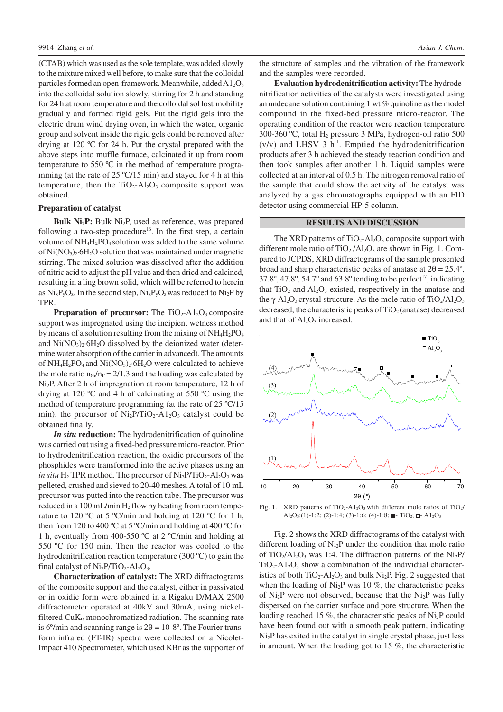(CTAB) which was used as the sole template, was added slowly to the mixture mixed well before, to make sure that the colloidal particles formed an open-framework. Meanwhile, added  $A1_2O_3$ into the colloidal solution slowly, stirring for 2 h and standing for 24 h at room temperature and the colloidal sol lost mobility gradually and formed rigid gels. Put the rigid gels into the electric drum wind drying oven, in which the water, organic group and solvent inside the rigid gels could be removed after drying at 120 ºC for 24 h. Put the crystal prepared with the above steps into muffle furnace, calcinated it up from room temperature to 550 ºC in the method of temperature programming (at the rate of 25 °C/15 min) and stayed for 4 h at this temperature, then the  $TiO<sub>2</sub>-Al<sub>2</sub>O<sub>3</sub>$  composite support was obtained.

### **Preparation of catalyst**

**Bulk Ni2P:** Bulk Ni2P, used as reference, was prepared following a two-step procedure<sup>16</sup>. In the first step, a certain volume of NH4H2PO4 solution was added to the same volume of  $Ni(NO<sub>3</sub>)<sub>2</sub>·6H<sub>2</sub>O$  solution that was maintained under magnetic stirring. The mixed solution was dissolved after the addition of nitric acid to adjust the pH value and then dried and calcined, resulting in a ling brown solid, which will be referred to herein as  $Ni_xP_yO_z$ . In the second step,  $Ni_xP_yO_z$  was reduced to  $Ni_2P$  by TPR.

**Preparation of precursor:** The TiO<sub>2</sub>-A1<sub>2</sub>O<sub>3</sub> composite support was impregnated using the incipient wetness method by means of a solution resulting from the mixing of  $NH_4H_2PO_4$ and  $Ni(NO<sub>3</sub>)<sub>2</sub>·6H<sub>2</sub>O$  dissolved by the deionized water (determine water absorption of the carrier in advanced). The amounts of  $NH_4H_2PO_4$  and  $Ni(NO_3)_2·6H_2O$  were calculated to achieve the mole ratio  $n_{Ni}/n_P = 2/1.3$  and the loading was calculated by Ni2P. After 2 h of impregnation at room temperature, 12 h of drying at 120 ºC and 4 h of calcinating at 550 ºC using the method of temperature programming (at the rate of 25 ºC/15 min), the precursor of  $Ni<sub>2</sub>P/TiO<sub>2</sub>-A1<sub>2</sub>O<sub>3</sub>$  catalyst could be obtained finally.

*In situ* **reduction:** The hydrodenitrification of quinoline was carried out using a fixed-bed pressure micro-reactor. Prior to hydrodenitrification reaction, the oxidic precursors of the phosphides were transformed into the active phases using an *in situ* H<sub>2</sub> TPR method. The precursor of Ni<sub>2</sub>P/TiO<sub>2</sub>-Al<sub>2</sub>O<sub>3</sub> was pelleted, crushed and sieved to 20-40 meshes. A total of 10 mL precursor was putted into the reaction tube. The precursor was reduced in a 100 mL/min  $H_2$  flow by heating from room temperature to 120 °C at 5 °C/min and holding at 120 °C for 1 h, then from 120 to 400 °C at 5 °C/min and holding at 400 °C for 1 h, eventually from 400-550 ºC at 2 ºC/min and holding at 550 ºC for 150 min. Then the reactor was cooled to the hydrodenitrification reaction temperature (300 ºC) to gain the final catalyst of  $Ni<sub>2</sub>P/TiO<sub>2</sub>-Al<sub>2</sub>O<sub>3</sub>$ .

**Characterization of catalyst:** The XRD diffractograms of the composite support and the catalyst, either in passivated or in oxidic form were obtained in a Rigaku D/MAX 2500 diffractometer operated at 40kV and 30mA, using nickelfiltered  $CuK_{\alpha}$  monochromatized radiation. The scanning rate is 6°/min and scanning range is  $2\theta = 10{\text -}8$ °. The Fourier transform infrared (FT-IR) spectra were collected on a Nicolet-Impact 410 Spectrometer, which used KBr as the supporter of

the structure of samples and the vibration of the framework and the samples were recorded.

**Evaluation hydrodenitrification activity:** The hydrodenitrification activities of the catalysts were investigated using an undecane solution containing 1 wt % quinoline as the model compound in the fixed-bed pressure micro-reactor. The operating condition of the reactor were reaction temperature 300-360 ºC, total H2 pressure 3 MPa, hydrogen-oil ratio 500  $(v/v)$  and LHSV 3 h<sup>-1</sup>. Emptied the hydrodenitrification products after 3 h achieved the steady reaction condition and then took samples after another 1 h. Liquid samples were collected at an interval of 0.5 h. The nitrogen removal ratio of the sample that could show the activity of the catalyst was analyzed by a gas chromatographs equipped with an FID detector using commercial HP-5 column.

#### **RESULTS AND DISCUSSION**

The XRD patterns of  $TiO<sub>2</sub>-Al<sub>2</sub>O<sub>3</sub>$  composite support with different mole ratio of  $TiO<sub>2</sub>/Al<sub>2</sub>O<sub>3</sub>$  are shown in Fig. 1. Compared to JCPDS, XRD diffractograms of the sample presented broad and sharp characteristic peaks of anatase at  $2\theta = 25.4^{\circ}$ ,  $37.8^\circ$ ,  $47.8^\circ$ ,  $54.7^\circ$  and  $63.8^\circ$  tending to be perfect<sup>17</sup>, indicating that  $TiO<sub>2</sub>$  and  $Al<sub>2</sub>O<sub>3</sub>$  existed, respectively in the anatase and the  $\gamma$ -Al<sub>2</sub>O<sub>3</sub> crystal structure. As the mole ratio of TiO<sub>2</sub>/Al<sub>2</sub>O<sub>3</sub> decreased, the characteristic peaks of  $TiO<sub>2</sub>$  (anatase) decreased and that of  $Al_2O_3$  increased.



Fig. 1. XRD patterns of TiO<sub>2</sub>-A1<sub>2</sub>O<sub>3</sub> with different mole ratios of TiO<sub>2</sub>/ Al<sub>2</sub>O<sub>3</sub>:(1)-1:2; (2)-1:4; (3)-1:6; (4)-1:8; - TiO<sub>2</sub>; - Al<sub>2</sub>O<sub>3</sub>

Fig. 2 shows the XRD diffractograms of the catalyst with different loading of Ni2P under the condition that mole ratio of TiO<sub>2</sub>/Al<sub>2</sub>O<sub>3</sub> was 1:4. The diffraction patterns of the Ni<sub>2</sub>P/  $TiO<sub>2</sub>-A1<sub>2</sub>O<sub>3</sub>$  show a combination of the individual characteristics of both  $TiO_2$ -Al<sub>2</sub>O<sub>3</sub> and bulk Ni<sub>2</sub>P. Fig. 2 suggested that when the loading of  $Ni<sub>2</sub>P$  was 10 %, the characteristic peaks of  $Ni<sub>2</sub>P$  were not observed, because that the  $Ni<sub>2</sub>P$  was fully dispersed on the carrier surface and pore structure. When the loading reached 15 %, the characteristic peaks of  $Ni<sub>2</sub>P$  could have been found out with a smooth peak pattern, indicating Ni<sub>2</sub>P has exited in the catalyst in single crystal phase, just less in amount. When the loading got to 15 %, the characteristic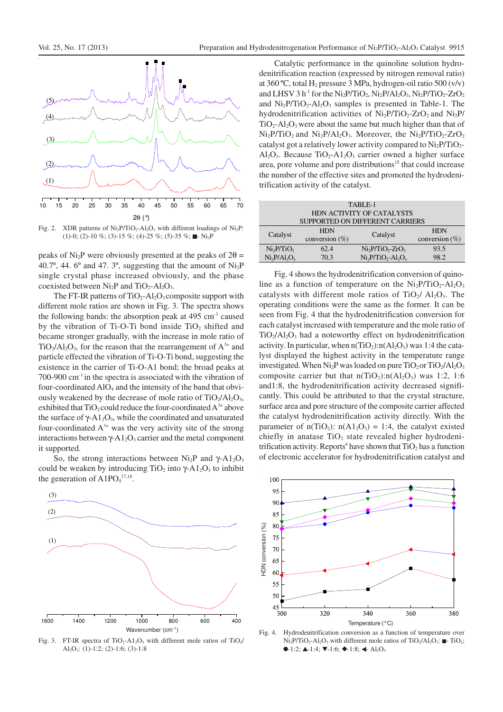

Fig. 2. XDR patterns of  $Ni<sub>2</sub>P/TiO<sub>2</sub>-Al<sub>2</sub>O<sub>3</sub>$  with different loadings of  $Ni<sub>2</sub>P$ :  $(1)-0$ ;  $(2)-10$  %;  $(3)-15$  %;  $(4)-25$  %;  $(5)-35$  %;  $\blacksquare$  Ni<sub>2</sub>P

peaks of Ni<sub>2</sub>P were obviously presented at the peaks of  $2\theta =$ 40.7 $\degree$ , 44. 6 $\degree$  and 47. 3 $\degree$ , suggesting that the amount of Ni<sub>2</sub>P single crystal phase increased obviously, and the phase coexisted between  $Ni<sub>2</sub>P$  and  $TiO<sub>2</sub>-Al<sub>2</sub>O<sub>3</sub>$ .

The FT-IR patterns of  $TiO<sub>2</sub>-Al<sub>2</sub>O<sub>3</sub>$  composite support with different mole ratios are shown in Fig. 3. The spectra shows the following bands: the absorption peak at  $495 \text{ cm}^{-1}$  caused by the vibration of Ti-O-Ti bond inside  $TiO<sub>2</sub>$  shifted and became stronger gradually, with the increase in mole ratio of  $TiO<sub>2</sub>/Al<sub>2</sub>O<sub>3</sub>$ , for the reason that the rearrangement of  $A<sup>3+</sup>$  and particle effected the vibration of Ti-O-Ti bond, suggesting the existence in the carrier of Ti-O-A1 bond; the broad peaks at  $700-900$  cm<sup>-1</sup> in the spectra is associated with the vibration of four-coordinated AlO<sub>4</sub> and the intensity of the band that obviously weakened by the decrease of mole ratio of  $TiO<sub>2</sub>/Al<sub>2</sub>O<sub>3</sub>$ , exhibited that  $TiO_2$  could reduce the four-coordinated  $A^{3+}$  above the surface of  $\gamma$ -A1<sub>2</sub>O<sub>3</sub>, while the coordinated and unsaturated four-coordinated  $A^{3+}$  was the very activity site of the strong interactions between  $\gamma$ -A1<sub>2</sub>O<sub>3</sub> carrier and the metal component it supported.

So, the strong interactions between  $Ni<sub>2</sub>P$  and  $\gamma$ -A $1<sub>2</sub>O<sub>3</sub>$ could be weaken by introducing TiO<sub>2</sub> into  $\gamma$ -A1<sub>2</sub>O<sub>3</sub> to inhibit the generation of  $A1PO<sub>4</sub><sup>17,18</sup>$ .



Fig. 3. FT-IR spectra of TiO<sub>2</sub>-A1<sub>2</sub>O<sub>3</sub> with different mole ratios of TiO<sub>2</sub>/ Al2O3: (1)-1:2; (2)-1:6; (3)-1:8

Catalytic performance in the quinoline solution hydrodenitrification reaction (expressed by nitrogen removal ratio) at  $360^{\circ}$ C, total H<sub>2</sub> pressure 3 MPa, hydrogen-oil ratio  $500 \, (v/v)$ and LHSV 3 h<sup>-1</sup> for the Ni<sub>2</sub>P/TiO<sub>2</sub>, Ni<sub>2</sub>P/Al<sub>2</sub>O<sub>3</sub>, Ni<sub>2</sub>P/TiO<sub>2</sub>-ZrO<sub>2</sub> and  $\text{Ni}_2\text{P/TiO}_2\text{-} \text{Al}_2\text{O}_3$  samples is presented in Table-1. The hydrodenitrification activities of  $Ni<sub>2</sub>P/TiO<sub>2</sub>-ZrO<sub>2</sub>$  and  $Ni<sub>2</sub>P$ /  $TiO<sub>2</sub>-Al<sub>2</sub>O<sub>3</sub>$  were about the same but much higher than that of  $Ni<sub>2</sub>P/TiO<sub>2</sub>$  and  $Ni<sub>2</sub>P/Al<sub>2</sub>O<sub>3</sub>$ . Moreover, the  $Ni<sub>2</sub>P/TiO<sub>2</sub>-ZrO<sub>2</sub>$ catalyst got a relatively lower activity compared to  $Ni<sub>2</sub>P/TiO<sub>2</sub>$ -Al<sub>2</sub>O<sub>3</sub>. Because TiO<sub>2</sub>-A<sub>1</sub><sub>2</sub>O<sub>3</sub> carrier owned a higher surface area, pore volume and pore distributions<sup>15</sup> that could increase the number of the effective sites and promoted the hydrodenitrification activity of the catalyst.

| TABLE-1                            |                   |                   |                    |
|------------------------------------|-------------------|-------------------|--------------------|
| HDN ACTIVITY OF CATALYSTS          |                   |                   |                    |
| SUPPORTED ON DIFFERENT CARRIERS    |                   |                   |                    |
| Catalyst                           | <b>HDN</b>        | Catalyst          | <b>HDN</b>         |
|                                    | conversion $(\%)$ |                   | conversion $(\% )$ |
| Ni <sub>2</sub> P/TiO <sub>2</sub> | 62.4              | $Ni2P/TiO2-ZrO2$  | 93.5               |
| $Ni2P/Al2O3$                       | 70.3              | $Ni2P/TiO2-Al2O3$ | 98.2               |

Fig. 4 shows the hydrodenitrification conversion of quinoline as a function of temperature on the  $Ni<sub>2</sub>P/TiO<sub>2</sub>-Al<sub>2</sub>O<sub>3</sub>$ catalysts with different mole ratios of  $TiO<sub>2</sub>/ Al<sub>2</sub>O<sub>3</sub>$ . The operating conditions were the same as the former. It can be seen from Fig. 4 that the hydrodenitrification conversion for each catalyst increased with temperature and the mole ratio of  $TiO<sub>2</sub>/Al<sub>2</sub>O<sub>3</sub>$  had a noteworthy effect on hydrodenitrification activity. In particular, when  $n(TiO_2):n(Al_2O_3)$  was 1:4 the catalyst displayed the highest activity in the temperature range investigated. When  $\text{Ni}_2\text{P}$  was loaded on pure  $\text{TiO}_2$  or  $\text{TiO}_2/\text{Al}_2\text{O}_3$ composite carrier but that  $n(TiO<sub>2</sub>)$ : $n(Al<sub>2</sub>O<sub>3</sub>)$  was 1:2, 1:6 and1:8, the hydrodenitrification activity decreased significantly. This could be attributed to that the crystal structure, surface area and pore structure of the composite carrier affected the catalyst hydrodenitrification activity directly. With the parameter of  $n(TiO_2)$ :  $n(A1_2O_3) = 1:4$ , the catalyst existed chiefly in anatase  $TiO<sub>2</sub>$  state revealed higher hydrodenitrification activity. Reports<sup>4</sup> have shown that  $TiO<sub>2</sub>$  has a function of electronic accelerator for hydrodenitrification catalyst and



Fig. 4. Hydrodenitrification conversion as a function of temperature over  $Ni<sub>2</sub>P/TiO<sub>2</sub>-Al<sub>2</sub>O<sub>3</sub>$  with different mole ratios of TiO<sub>2</sub>/Al<sub>2</sub>O<sub>3</sub>:  $\blacksquare$ - TiO<sub>2</sub>;  $-1:2$ ;  $\blacktriangle-1:4$ ;  $\nabla-1:6$ ;  $\blacklozenge-1:8$ ;  $\blacktriangleleft$  Al<sub>2</sub>O<sub>3</sub>